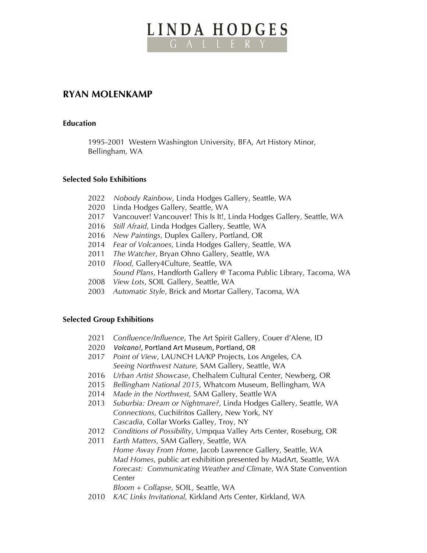# LINDA HODGES

# **RYAN MOLENKAMP**

## **Education**

1995-2001 Western Washington University, BFA, Art History Minor, Bellingham, WA

#### **Selected Solo Exhibitions**

- 2022 *Nobody Rainbow*, Linda Hodges Gallery, Seattle, WA
- 2020 Linda Hodges Gallery, Seattle, WA
- 2017 Vancouver! Vancouver! This Is It!, Linda Hodges Gallery, Seattle, WA
- 2016 *Still Afraid*, Linda Hodges Gallery, Seattle, WA
- 2016 *New Paintings*, Duplex Gallery, Portland, OR
- 2014 *Fear of Volcanoes,* Linda Hodges Gallery, Seattle, WA
- 2011 *The Watcher*, Bryan Ohno Gallery, Seattle, WA
- 2010 *Flood,* Gallery4Culture, Seattle, WA
- *Sound Plans*, Handforth Gallery @ Tacoma Public Library, Tacoma, WA
- 2008 *View Lots*, SOIL Gallery, Seattle, WA
- 2003 *Automatic Style*, Brick and Mortar Gallery, Tacoma, WA

# **Selected Group Exhibitions**

- 2021 *Confluence/Influence*, The Art Spirit Gallery, Couer d'Alene, ID
- 2020 *Volcano!*, Portland Art Museum, Portland, OR
- 2017 *Point of View*, LAUNCH LA/KP Projects, Los Angeles, CA *Seeing Northwest Nature*, SAM Gallery, Seattle, WA
- 2016 *Urban Artist Showcase*, Chelhalem Cultural Center, Newberg, OR
- 2015 *Bellingham National 2015*, Whatcom Museum, Bellingham, WA
- 2014 *Made in the Northwest,* SAM Gallery, Seattle WA
- 2013 *Suburbia: Dream or Nightmare?*, Linda Hodges Gallery, Seattle, WA  *Connections*, Cuchifritos Gallery, New York, NY *Cascadia*, Collar Works Galley, Troy, NY
- 2012 *Conditions of Possibility*, Umpqua Valley Arts Center, Roseburg, OR
- 2011 *Earth Matters,* SAM Gallery, Seattle, WA *Home Away From Home*, Jacob Lawrence Gallery, Seattle, WA *Mad Homes,* public art exhibition presented by MadArt, Seattle, WA *Forecast: Communicating Weather and Climate*, WA State Convention Center

*Bloom + Collapse,* SOIL, Seattle, WA

2010 *KAC Links Invitational,* Kirkland Arts Center, Kirkland, WA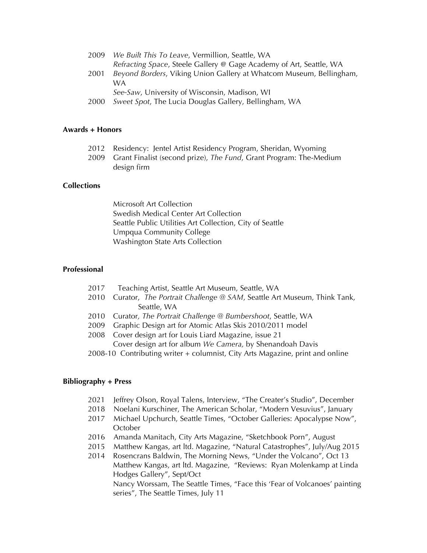| 2009 | We Built This To Leave, Vermillion, Seattle, WA                     |
|------|---------------------------------------------------------------------|
|      | Refracting Space, Steele Gallery @ Gage Academy of Art, Seattle, WA |
| 2001 | Beyond Borders, Viking Union Gallery at Whatcom Museum, Bellingham, |
|      | W A                                                                 |
|      | See-Saw, University of Wisconsin, Madison, WI                       |
|      |                                                                     |

2000 *Sweet Spot*, The Lucia Douglas Gallery, Bellingham, WA

#### **Awards + Honors**

- 2012 Residency: Jentel Artist Residency Program, Sheridan, Wyoming
- 2009 Grant Finalist (second prize), *The Fund*, Grant Program: The-Medium design firm

#### **Collections**

Microsoft Art Collection Swedish Medical Center Art Collection Seattle Public Utilities Art Collection, City of Seattle Umpqua Community College Washington State Arts Collection

## **Professional**

- 2017 Teaching Artist, Seattle Art Museum, Seattle, WA
- 2010 Curator, *The Portrait Challenge @ SAM*, Seattle Art Museum, Think Tank, Seattle, WA
- 2010 Curator*, The Portrait Challenge @ Bumbershoot*, Seattle, WA
- 2009 Graphic Design art for Atomic Atlas Skis 2010/2011 model
- 2008 Cover design art for Louis Liard Magazine, issue 21 Cover design art for album *We Camera,* by Shenandoah Davis
- 2008-10 Contributing writer + columnist, City Arts Magazine, print and online

#### **Bibliography + Press**

- 2021 Jeffrey Olson, Royal Talens, Interview, "The Creater's Studio", December
- 2018 Noelani Kurschiner, The American Scholar, "Modern Vesuvius", January
- 2017 Michael Upchurch, Seattle Times, "October Galleries: Apocalypse Now", **October**
- 2016 Amanda Manitach, City Arts Magazine, "Sketchbook Porn", August
- 2015 Matthew Kangas, art ltd. Magazine, "Natural Catastrophes", July/Aug 2015
- 2014 Rosencrans Baldwin, The Morning News, "Under the Volcano", Oct 13 Matthew Kangas, art ltd. Magazine, "Reviews: Ryan Molenkamp at Linda Hodges Gallery", Sept/Oct Nancy Worssam, The Seattle Times, "Face this 'Fear of Volcanoes' painting series", The Seattle Times, July 11